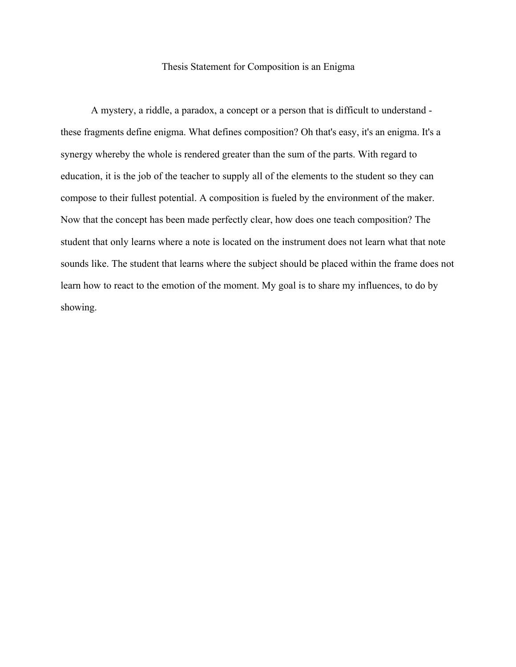## Thesis Statement for Composition is an Enigma

A mystery, a riddle, a paradox, a concept or a person that is difficult to understand these fragments define enigma. What defines composition? Oh that's easy, it's an enigma. It's a synergy whereby the whole is rendered greater than the sum of the parts. With regard to education, it is the job of the teacher to supply all of the elements to the student so they can compose to their fullest potential. A composition is fueled by the environment of the maker. Now that the concept has been made perfectly clear, how does one teach composition? The student that only learns where a note is located on the instrument does not learn what that note sounds like. The student that learns where the subject should be placed within the frame does not learn how to react to the emotion of the moment. My goal is to share my influences, to do by showing.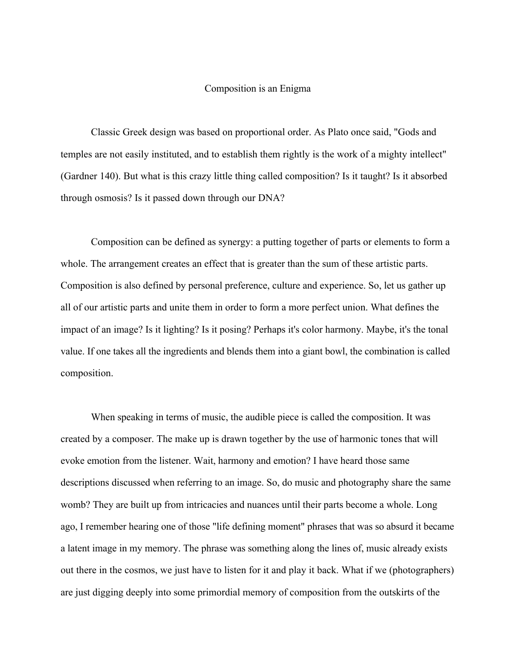## Composition is an Enigma

Classic Greek design was based on proportional order. As Plato once said, "Gods and temples are not easily instituted, and to establish them rightly is the work of a mighty intellect" (Gardner 140). But what is this crazy little thing called composition? Is it taught? Is it absorbed through osmosis? Is it passed down through our DNA?

Composition can be defined as synergy: a putting together of parts or elements to form a whole. The arrangement creates an effect that is greater than the sum of these artistic parts. Composition is also defined by personal preference, culture and experience. So, let us gather up all of our artistic parts and unite them in order to form a more perfect union. What defines the impact of an image? Is it lighting? Is it posing? Perhaps it's color harmony. Maybe, it's the tonal value. If one takes all the ingredients and blends them into a giant bowl, the combination is called composition.

When speaking in terms of music, the audible piece is called the composition. It was created by a composer. The make up is drawn together by the use of harmonic tones that will evoke emotion from the listener. Wait, harmony and emotion? I have heard those same descriptions discussed when referring to an image. So, do music and photography share the same womb? They are built up from intricacies and nuances until their parts become a whole. Long ago, I remember hearing one of those "life defining moment" phrases that was so absurd it became a latent image in my memory. The phrase was something along the lines of, music already exists out there in the cosmos, we just have to listen for it and play it back. What if we (photographers) are just digging deeply into some primordial memory of composition from the outskirts of the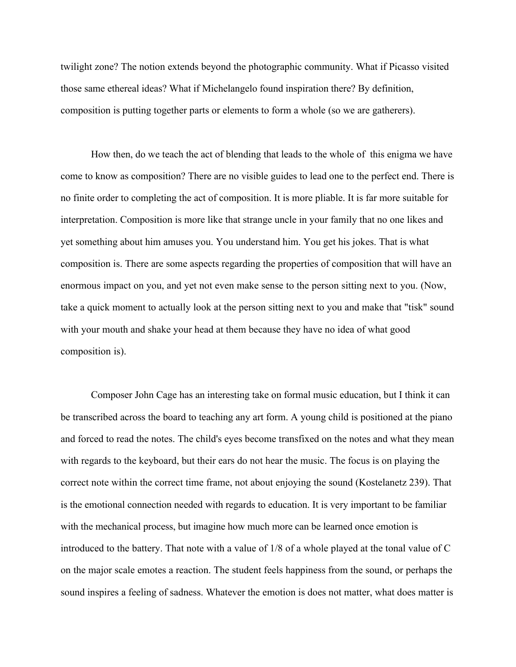twilight zone? The notion extends beyond the photographic community. What if Picasso visited those same ethereal ideas? What if Michelangelo found inspiration there? By definition, composition is putting together parts or elements to form a whole (so we are gatherers).

How then, do we teach the act of blending that leads to the whole of this enigma we have come to know as composition? There are no visible guides to lead one to the perfect end. There is no finite order to completing the act of composition. It is more pliable. It is far more suitable for interpretation. Composition is more like that strange uncle in your family that no one likes and yet something about him amuses you. You understand him. You get his jokes. That is what composition is. There are some aspects regarding the properties of composition that will have an enormous impact on you, and yet not even make sense to the person sitting next to you. (Now, take a quick moment to actually look at the person sitting next to you and make that "tisk" sound with your mouth and shake your head at them because they have no idea of what good composition is).

Composer John Cage has an interesting take on formal music education, but I think it can be transcribed across the board to teaching any art form. A young child is positioned at the piano and forced to read the notes. The child's eyes become transfixed on the notes and what they mean with regards to the keyboard, but their ears do not hear the music. The focus is on playing the correct note within the correct time frame, not about enjoying the sound (Kostelanetz 239). That is the emotional connection needed with regards to education. It is very important to be familiar with the mechanical process, but imagine how much more can be learned once emotion is introduced to the battery. That note with a value of 1/8 of a whole played at the tonal value of C on the major scale emotes a reaction. The student feels happiness from the sound, or perhaps the sound inspires a feeling of sadness. Whatever the emotion is does not matter, what does matter is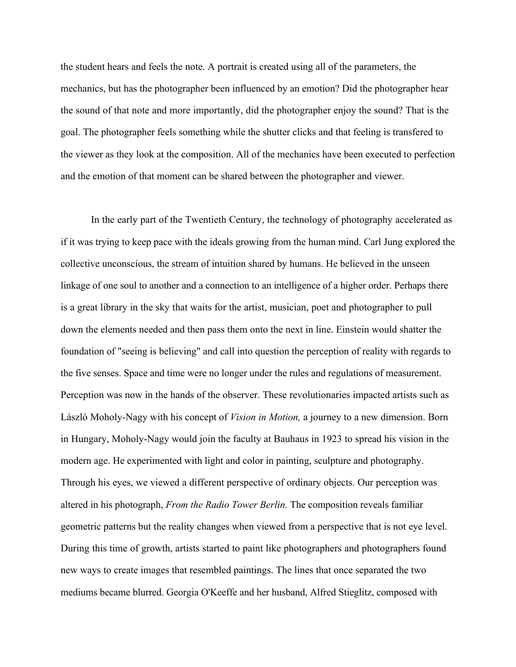the student hears and feels the note. A portrait is created using all of the parameters, the mechanics, but has the photographer been influenced by an emotion? Did the photographer hear the sound of that note and more importantly, did the photographer enjoy the sound? That is the goal. The photographer feels something while the shutter clicks and that feeling is transfered to the viewer as they look at the composition. All of the mechanics have been executed to perfection and the emotion of that moment can be shared between the photographer and viewer.

In the early part of the Twentieth Century, the technology of photography accelerated as if it was trying to keep pace with the ideals growing from the human mind. Carl Jung explored the collective unconscious, the stream of intuition shared by humans. He believed in the unseen linkage of one soul to another and a connection to an intelligence of a higher order. Perhaps there is a great library in the sky that waits for the artist, musician, poet and photographer to pull down the elements needed and then pass them onto the next in line. Einstein would shatter the foundation of "seeing is believing" and call into question the perception of reality with regards to the five senses. Space and time were no longer under the rules and regulations of measurement. Perception was now in the hands of the observer. These revolutionaries impacted artists such as László Moholy-Nagy with his concept of *Vision in Motion,* a journey to a new dimension. Born in Hungary, Moholy-Nagy would join the faculty at Bauhaus in 1923 to spread his vision in the modern age. He experimented with light and color in painting, sculpture and photography. Through his eyes, we viewed a different perspective of ordinary objects. Our perception was altered in his photograph, *From the Radio Tower Berlin.* The composition reveals familiar geometric patterns but the reality changes when viewed from a perspective that is not eye level. During this time of growth, artists started to paint like photographers and photographers found new ways to create images that resembled paintings. The lines that once separated the two mediums became blurred. Georgia O'Keeffe and her husband, Alfred Stieglitz, composed with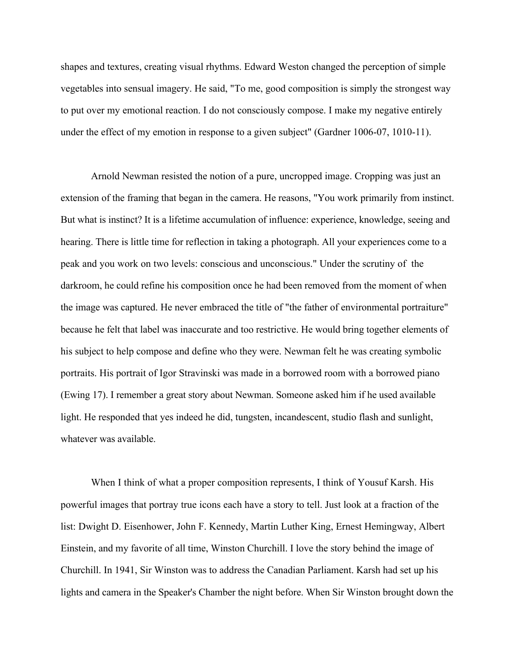shapes and textures, creating visual rhythms. Edward Weston changed the perception of simple vegetables into sensual imagery. He said, "To me, good composition is simply the strongest way to put over my emotional reaction. I do not consciously compose. I make my negative entirely under the effect of my emotion in response to a given subject" (Gardner 1006-07, 1010-11).

Arnold Newman resisted the notion of a pure, uncropped image. Cropping was just an extension of the framing that began in the camera. He reasons, "You work primarily from instinct. But what is instinct? It is a lifetime accumulation of influence: experience, knowledge, seeing and hearing. There is little time for reflection in taking a photograph. All your experiences come to a peak and you work on two levels: conscious and unconscious." Under the scrutiny of the darkroom, he could refine his composition once he had been removed from the moment of when the image was captured. He never embraced the title of "the father of environmental portraiture" because he felt that label was inaccurate and too restrictive. He would bring together elements of his subject to help compose and define who they were. Newman felt he was creating symbolic portraits. His portrait of Igor Stravinski was made in a borrowed room with a borrowed piano (Ewing 17). I remember a great story about Newman. Someone asked him if he used available light. He responded that yes indeed he did, tungsten, incandescent, studio flash and sunlight, whatever was available.

When I think of what a proper composition represents, I think of Yousuf Karsh. His powerful images that portray true icons each have a story to tell. Just look at a fraction of the list: Dwight D. Eisenhower, John F. Kennedy, Martin Luther King, Ernest Hemingway, Albert Einstein, and my favorite of all time, Winston Churchill. I love the story behind the image of Churchill. In 1941, Sir Winston was to address the Canadian Parliament. Karsh had set up his lights and camera in the Speaker's Chamber the night before. When Sir Winston brought down the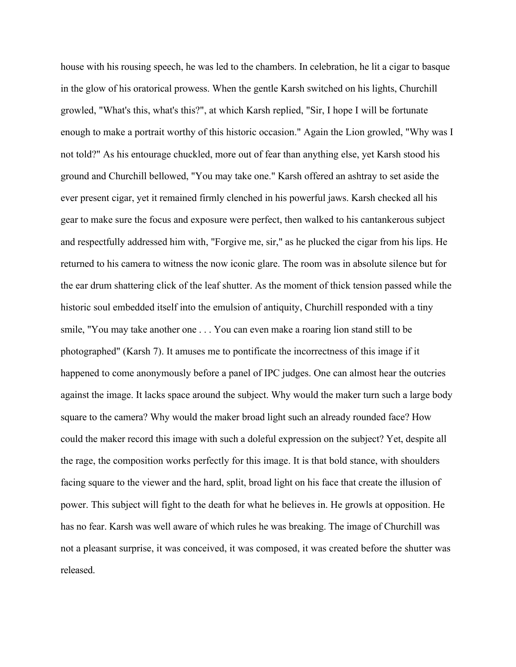house with his rousing speech, he was led to the chambers. In celebration, he lit a cigar to basque in the glow of his oratorical prowess. When the gentle Karsh switched on his lights, Churchill growled, "What's this, what's this?", at which Karsh replied, "Sir, I hope I will be fortunate enough to make a portrait worthy of this historic occasion." Again the Lion growled, "Why was I not told?" As his entourage chuckled, more out of fear than anything else, yet Karsh stood his ground and Churchill bellowed, "You may take one." Karsh offered an ashtray to set aside the ever present cigar, yet it remained firmly clenched in his powerful jaws. Karsh checked all his gear to make sure the focus and exposure were perfect, then walked to his cantankerous subject and respectfully addressed him with, "Forgive me, sir," as he plucked the cigar from his lips. He returned to his camera to witness the now iconic glare. The room was in absolute silence but for the ear drum shattering click of the leaf shutter. As the moment of thick tension passed while the historic soul embedded itself into the emulsion of antiquity, Churchill responded with a tiny smile, "You may take another one . . . You can even make a roaring lion stand still to be photographed" (Karsh 7). It amuses me to pontificate the incorrectness of this image if it happened to come anonymously before a panel of IPC judges. One can almost hear the outcries against the image. It lacks space around the subject. Why would the maker turn such a large body square to the camera? Why would the maker broad light such an already rounded face? How could the maker record this image with such a doleful expression on the subject? Yet, despite all the rage, the composition works perfectly for this image. It is that bold stance, with shoulders facing square to the viewer and the hard, split, broad light on his face that create the illusion of power. This subject will fight to the death for what he believes in. He growls at opposition. He has no fear. Karsh was well aware of which rules he was breaking. The image of Churchill was not a pleasant surprise, it was conceived, it was composed, it was created before the shutter was released.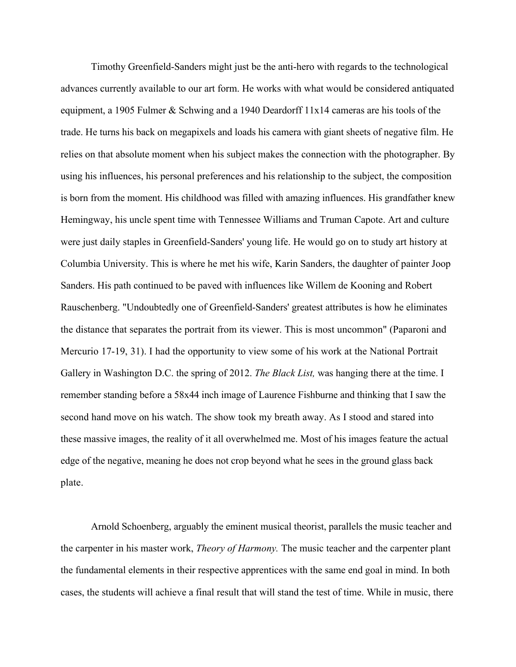Timothy Greenfield-Sanders might just be the anti-hero with regards to the technological advances currently available to our art form. He works with what would be considered antiquated equipment, a 1905 Fulmer & Schwing and a 1940 Deardorff 11x14 cameras are his tools of the trade. He turns his back on megapixels and loads his camera with giant sheets of negative film. He relies on that absolute moment when his subject makes the connection with the photographer. By using his influences, his personal preferences and his relationship to the subject, the composition is born from the moment. His childhood was filled with amazing influences. His grandfather knew Hemingway, his uncle spent time with Tennessee Williams and Truman Capote. Art and culture were just daily staples in Greenfield-Sanders' young life. He would go on to study art history at Columbia University. This is where he met his wife, Karin Sanders, the daughter of painter Joop Sanders. His path continued to be paved with influences like Willem de Kooning and Robert Rauschenberg. "Undoubtedly one of Greenfield-Sanders' greatest attributes is how he eliminates the distance that separates the portrait from its viewer. This is most uncommon" (Paparoni and Mercurio 17-19, 31). I had the opportunity to view some of his work at the National Portrait Gallery in Washington D.C. the spring of 2012. *The Black List,* was hanging there at the time. I remember standing before a 58x44 inch image of Laurence Fishburne and thinking that I saw the second hand move on his watch. The show took my breath away. As I stood and stared into these massive images, the reality of it all overwhelmed me. Most of his images feature the actual edge of the negative, meaning he does not crop beyond what he sees in the ground glass back plate.

Arnold Schoenberg, arguably the eminent musical theorist, parallels the music teacher and the carpenter in his master work, *Theory of Harmony.* The music teacher and the carpenter plant the fundamental elements in their respective apprentices with the same end goal in mind. In both cases, the students will achieve a final result that will stand the test of time. While in music, there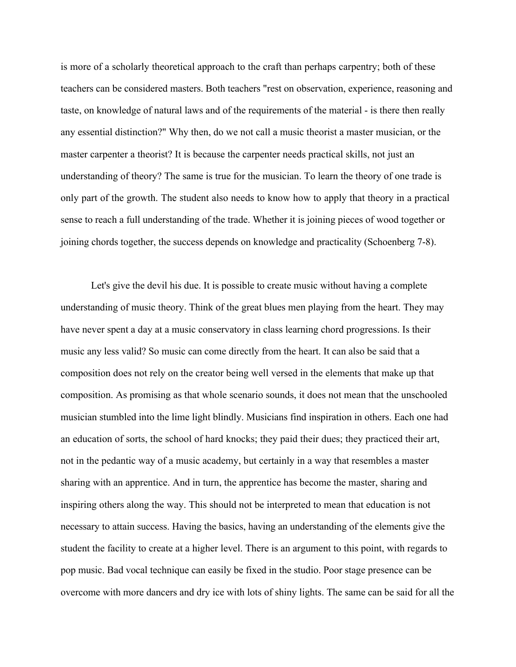is more of a scholarly theoretical approach to the craft than perhaps carpentry; both of these teachers can be considered masters. Both teachers "rest on observation, experience, reasoning and taste, on knowledge of natural laws and of the requirements of the material - is there then really any essential distinction?" Why then, do we not call a music theorist a master musician, or the master carpenter a theorist? It is because the carpenter needs practical skills, not just an understanding of theory? The same is true for the musician. To learn the theory of one trade is only part of the growth. The student also needs to know how to apply that theory in a practical sense to reach a full understanding of the trade. Whether it is joining pieces of wood together or joining chords together, the success depends on knowledge and practicality (Schoenberg 7-8).

Let's give the devil his due. It is possible to create music without having a complete understanding of music theory. Think of the great blues men playing from the heart. They may have never spent a day at a music conservatory in class learning chord progressions. Is their music any less valid? So music can come directly from the heart. It can also be said that a composition does not rely on the creator being well versed in the elements that make up that composition. As promising as that whole scenario sounds, it does not mean that the unschooled musician stumbled into the lime light blindly. Musicians find inspiration in others. Each one had an education of sorts, the school of hard knocks; they paid their dues; they practiced their art, not in the pedantic way of a music academy, but certainly in a way that resembles a master sharing with an apprentice. And in turn, the apprentice has become the master, sharing and inspiring others along the way. This should not be interpreted to mean that education is not necessary to attain success. Having the basics, having an understanding of the elements give the student the facility to create at a higher level. There is an argument to this point, with regards to pop music. Bad vocal technique can easily be fixed in the studio. Poor stage presence can be overcome with more dancers and dry ice with lots of shiny lights. The same can be said for all the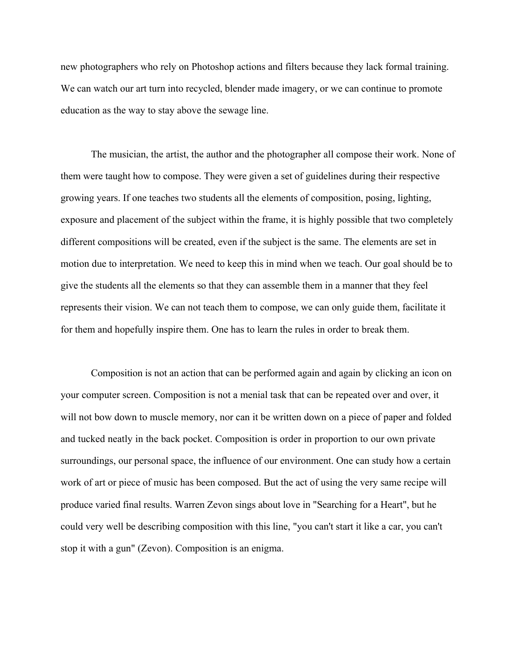new photographers who rely on Photoshop actions and filters because they lack formal training. We can watch our art turn into recycled, blender made imagery, or we can continue to promote education as the way to stay above the sewage line.

The musician, the artist, the author and the photographer all compose their work. None of them were taught how to compose. They were given a set of guidelines during their respective growing years. If one teaches two students all the elements of composition, posing, lighting, exposure and placement of the subject within the frame, it is highly possible that two completely different compositions will be created, even if the subject is the same. The elements are set in motion due to interpretation. We need to keep this in mind when we teach. Our goal should be to give the students all the elements so that they can assemble them in a manner that they feel represents their vision. We can not teach them to compose, we can only guide them, facilitate it for them and hopefully inspire them. One has to learn the rules in order to break them.

Composition is not an action that can be performed again and again by clicking an icon on your computer screen. Composition is not a menial task that can be repeated over and over, it will not bow down to muscle memory, nor can it be written down on a piece of paper and folded and tucked neatly in the back pocket. Composition is order in proportion to our own private surroundings, our personal space, the influence of our environment. One can study how a certain work of art or piece of music has been composed. But the act of using the very same recipe will produce varied final results. Warren Zevon sings about love in "Searching for a Heart", but he could very well be describing composition with this line, "you can't start it like a car, you can't stop it with a gun" (Zevon). Composition is an enigma.